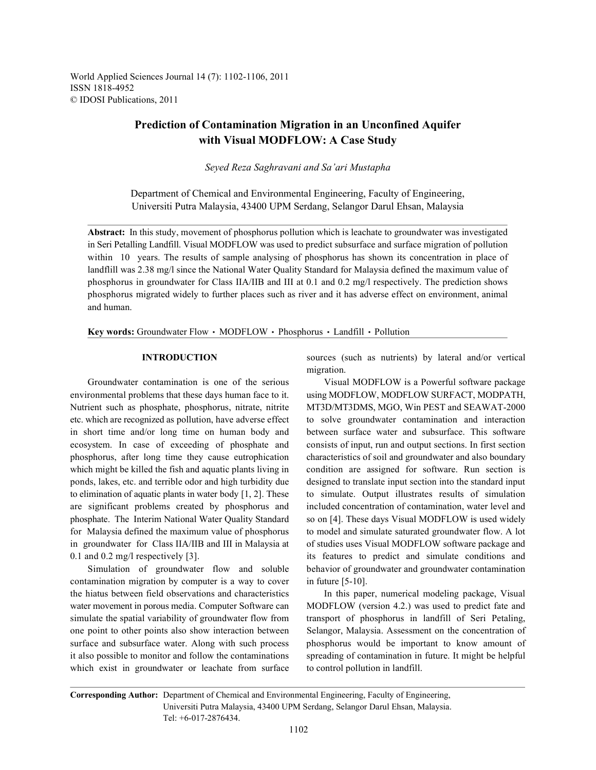World Applied Sciences Journal 14 (7): 1102-1106, 2011 ISSN 1818-4952 © IDOSI Publications, 2011

# **Prediction of Contamination Migration in an Unconfined Aquifer with Visual MODFLOW: A Case Study**

*Seyed Reza Saghravani and Sa'ari Mustapha*

Department of Chemical and Environmental Engineering, Faculty of Engineering, Universiti Putra Malaysia, 43400 UPM Serdang, Selangor Darul Ehsan, Malaysia

**Abstract:** In this study, movement of phosphorus pollution which is leachate to groundwater was investigated in Seri Petalling Landfill. Visual MODFLOW was used to predict subsurface and surface migration of pollution within 10 years. The results of sample analysing of phosphorus has shown its concentration in place of landflill was 2.38 mg/l since the National Water Quality Standard for Malaysia defined the maximum value of phosphorus in groundwater for Class IIA/IIB and III at 0.1 and 0.2 mg/l respectively. The prediction shows phosphorus migrated widely to further places such as river and it has adverse effect on environment, animal and human.

Key words: Groundwater Flow · MODFLOW · Phosphorus · Landfill · Pollution

environmental problems that these days human face to it. using MODFLOW, MODFLOW SURFACT, MODPATH, Nutrient such as phosphate, phosphorus, nitrate, nitrite MT3D/MT3DMS, MGO, Win PEST and SEAWAT-2000 etc. which are recognized as pollution, have adverse effect to solve groundwater contamination and interaction in short time and/or long time on human body and between surface water and subsurface. This software ecosystem. In case of exceeding of phosphate and consists of input, run and output sections. In first section phosphorus, after long time they cause eutrophication characteristics of soil and groundwater and also boundary which might be killed the fish and aquatic plants living in condition are assigned for software. Run section is ponds, lakes, etc. and terrible odor and high turbidity due designed to translate input section into the standard input to elimination of aquatic plants in water body  $[1, 2]$ . These to simulate. Output illustrates results of simulation are significant problems created by phosphorus and included concentration of contamination, water level and phosphate. The Interim National Water Quality Standard so on [4]. These days Visual MODFLOW is used widely for Malaysia defined the maximum value of phosphorus to model and simulate saturated groundwater flow. A lot in groundwater for Class IIA/IIB and III in Malaysia at of studies uses Visual MODFLOW software package and 0.1 and 0.2 mg/l respectively [3]. its features to predict and simulate conditions and

contamination migration by computer is a way to cover in future [5-10]. the hiatus between field observations and characteristics In this paper, numerical modeling package, Visual water movement in porous media. Computer Software can MODFLOW (version 4.2.) was used to predict fate and simulate the spatial variability of groundwater flow from transport of phosphorus in landfill of Seri Petaling, one point to other points also show interaction between Selangor, Malaysia. Assessment on the concentration of surface and subsurface water. Along with such process phosphorus would be important to know amount of it also possible to monitor and follow the contaminations spreading of contamination in future. It might be helpful which exist in groundwater or leachate from surface to control pollution in landfill.

**INTRODUCTION** sources (such as nutrients) by lateral and/or vertical migration.

Groundwater contamination is one of the serious Visual MODFLOW is a Powerful software package Simulation of groundwater flow and soluble behavior of groundwater and groundwater contamination

**Corresponding Author:** Department of Chemical and Environmental Engineering, Faculty of Engineering, Universiti Putra Malaysia, 43400 UPM Serdang, Selangor Darul Ehsan, Malaysia. Tel: +6-017-2876434.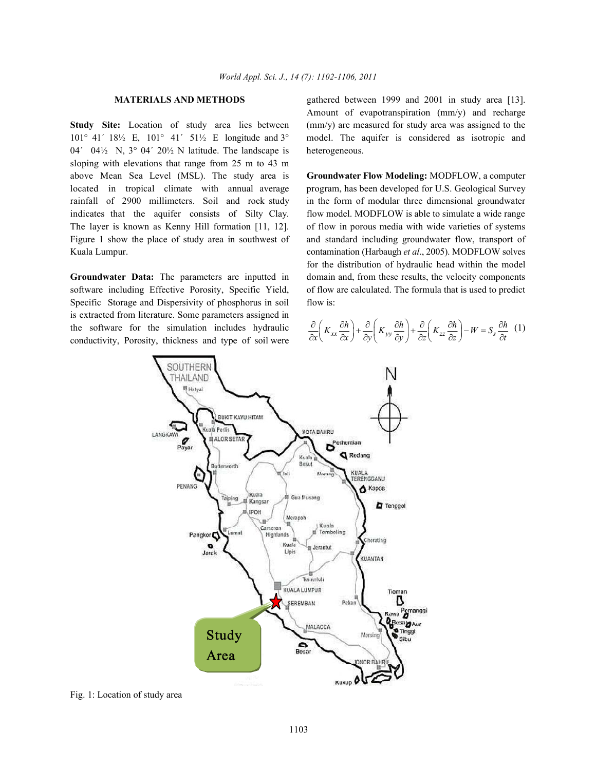101° 41´ 18½ E, 101° 41´ 51½ E longitude and 3° model. The aquifer is considered as isotropic and 04´ 04½ N, 3° 04´ 20½ N latitude. The landscape is heterogeneous. sloping with elevations that range from 25 m to 43 m above Mean Sea Level (MSL). The study area is **Groundwater Flow Modeling:** MODFLOW, a computer located in tropical climate with annual average program, has been developed for U.S. Geological Survey rainfall of 2900 millimeters. Soil and rock study in the form of modular three dimensional groundwater indicates that the aquifer consists of Silty Clay. flow model. MODFLOW is able to simulate a wide range The layer is known as Kenny Hill formation [11, 12]. of flow in porous media with wide varieties of systems Figure 1 show the place of study area in southwest of and standard including groundwater flow, transport of Kuala Lumpur. contamination (Harbaugh *et al*., 2005). MODFLOW solves

software including Effective Porosity, Specific Yield, of flow are calculated. The formula that is used to predict Specific Storage and Dispersivity of phosphorus in soil flow is: is extracted from literature. Some parameters assigned in the software for the simulation includes hydraulic conductivity, Porosity, thickness and type of soil were

**MATERIALS AND METHODS** gathered between 1999 and 2001 in study area [13]. **Study Site:** Location of study area lies between (mm/y) are measured for study area was assigned to the Amount of evapotranspiration (mm/y) and recharge

**Groundwater Data:** The parameters are inputted in domain and, from these results, the velocity components for the distribution of hydraulic head within the model

$$
\frac{\partial}{\partial x}\left(K_{xx}\frac{\partial h}{\partial x}\right) + \frac{\partial}{\partial y}\left(K_{yy}\frac{\partial h}{\partial y}\right) + \frac{\partial}{\partial z}\left(K_{zz}\frac{\partial h}{\partial z}\right) - W = S_s\frac{\partial h}{\partial t} \quad (1)
$$



Fig. 1: Location of study area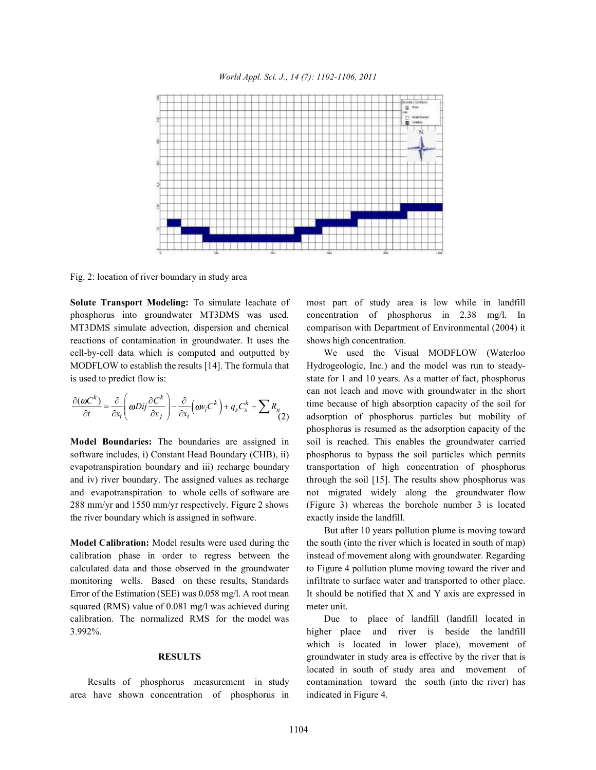

Fig. 2: location of river boundary in study area

phosphorus into groundwater MT3DMS was used. concentration of phosphorus in 2.38 mg/l. In MT3DMS simulate advection, dispersion and chemical comparison with Department of Environmental (2004) it reactions of contamination in groundwater. It uses the shows high concentration. cell-by-cell data which is computed and outputted by We used the Visual MODFLOW (Waterloo MODFLOW to establish the results [14]. The formula that Hydrogeologic, Inc.) and the model was run to steadyis used to predict flow is: state for 1 and 10 years. As a matter of fact, phosphorus

$$
\frac{\partial(\omega C^k)}{\partial t} = \frac{\partial}{\partial x_i} \left( \omega Dij \frac{\partial C^k}{\partial x_j} \right) - \frac{\partial}{\partial x_i} \left( \omega v_i C^k \right) + q_s C_s^k + \sum R_n
$$
\n(2)

software includes, i) Constant Head Boundary (CHB), ii) phosphorus to bypass the soil particles which permits evapotranspiration boundary and iii) recharge boundary transportation of high concentration of phosphorus and iv) river boundary. The assigned values as recharge through the soil [15]. The results show phosphorus was and evapotranspiration to whole cells of software are not migrated widely along the groundwater flow 288 mm/yr and 1550 mm/yr respectively. Figure 2 shows (Figure 3) whereas the borehole number 3 is located the river boundary which is assigned in software. exactly inside the landfill.

calibration phase in order to regress between the instead of movement along with groundwater. Regarding calculated data and those observed in the groundwater to Figure 4 pollution plume moving toward the river and monitoring wells. Based on these results, Standards infiltrate to surface water and transported to other place. Error of the Estimation (SEE) was 0.058 mg/l. A root mean It should be notified that X and Y axis are expressed in squared (RMS) value of 0.081 mg/l was achieved during meter unit. calibration. The normalized RMS for the model was Due to place of landfill (landfill located in

area have shown concentration of phosphorus in indicated in Figure 4.

**Solute Transport Modeling:** To simulate leachate of most part of study area is low while in landfill

time because of high absorption capacity of the soil for adsorption of phosphorus particles but mobility of **Model Boundaries:** The boundaries are assigned in soil is reached. This enables the groundwater carried can not leach and move with groundwater in the short phosphorus is resumed as the adsorption capacity of the

**Model Calibration:** Model results were used during the the south (into the river which is located in south of map) But after 10 years pollution plume is moving toward

3.992%. higher place and river is beside the landfill **RESULTS** groundwater in study area is effective by the river that is Results of phosphorus measurement in study contamination toward the south (into the river) has which is located in lower place), movement of located in south of study area and movement of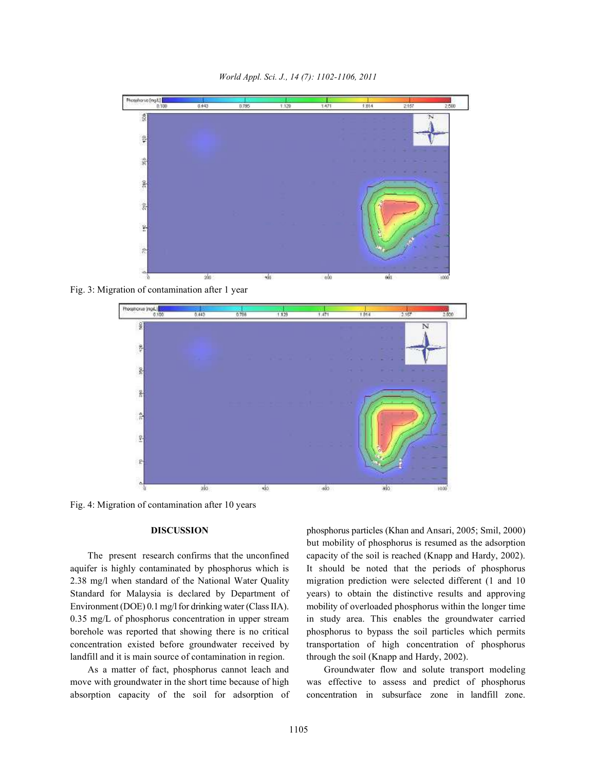*World Appl. Sci. J., 14 (7): 1102-1106, 2011*



Fig. 3: Migration of contamination after 1 year



Fig. 4: Migration of contamination after 10 years

aquifer is highly contaminated by phosphorus which is It should be noted that the periods of phosphorus 2.38 mg/l when standard of the National Water Quality migration prediction were selected different (1 and 10 Standard for Malaysia is declared by Department of years) to obtain the distinctive results and approving Environment (DOE) 0.1 mg/l for drinking water (Class IIA). mobility of overloaded phosphorus within the longer time 0.35 mg/L of phosphorus concentration in upper stream in study area. This enables the groundwater carried borehole was reported that showing there is no critical phosphorus to bypass the soil particles which permits concentration existed before groundwater received by transportation of high concentration of phosphorus landfill and it is main source of contamination in region. through the soil (Knapp and Hardy, 2002).

absorption capacity of the soil for adsorption of concentration in subsurface zone in landfill zone.

**DISCUSSION** phosphorus particles (Khan and Ansari, 2005; Smil, 2000) The present research confirms that the unconfined capacity of the soil is reached (Knapp and Hardy, 2002). but mobility of phosphorus is resumed as the adsorption

As a matter of fact, phosphorus cannot leach and Groundwater flow and solute transport modeling move with groundwater in the short time because of high was effective to assess and predict of phosphorus